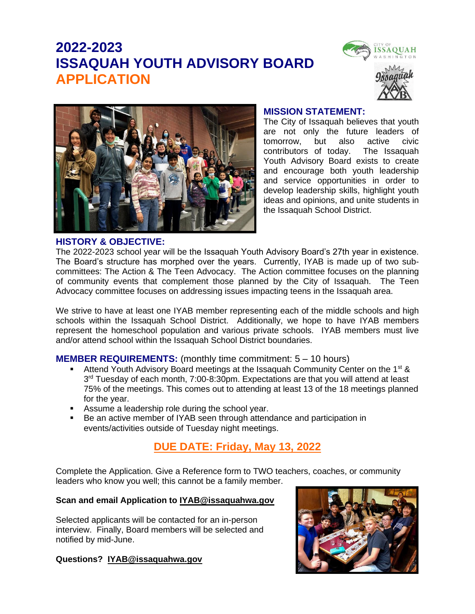# **2022-2023 ISSAQUAH YOUTH ADVISORY BOARD APPLICATION**





#### **MISSION STATEMENT:**

The City of Issaquah believes that youth are not only the future leaders of tomorrow, but also active civic contributors of today. The Issaquah Youth Advisory Board exists to create and encourage both youth leadership and service opportunities in order to develop leadership skills, highlight youth ideas and opinions, and unite students in the Issaquah School District.

#### **HISTORY & OBJECTIVE:**

The 2022-2023 school year will be the Issaquah Youth Advisory Board's 27th year in existence. The Board's structure has morphed over the years. Currently, IYAB is made up of two subcommittees: The Action & The Teen Advocacy. The Action committee focuses on the planning of community events that complement those planned by the City of Issaquah. The Teen Advocacy committee focuses on addressing issues impacting teens in the Issaquah area.

We strive to have at least one IYAB member representing each of the middle schools and high schools within the Issaquah School District. Additionally, we hope to have IYAB members represent the homeschool population and various private schools. IYAB members must live and/or attend school within the Issaquah School District boundaries.

#### **MEMBER REQUIREMENTS:** (monthly time commitment: 5 – 10 hours)

- Attend Youth Advisory Board meetings at the Issaquah Community Center on the 1<sup>st</sup> & 3<sup>rd</sup> Tuesday of each month, 7:00-8:30pm. Expectations are that you will attend at least 75% of the meetings. This comes out to attending at least 13 of the 18 meetings planned for the year.
- Assume a leadership role during the school year.
- Be an active member of IYAB seen through attendance and participation in events/activities outside of Tuesday night meetings.

### **DUE DATE: Friday, May 13, 2022**

Complete the Application. Give a Reference form to TWO teachers, coaches, or community leaders who know you well; this cannot be a family member.

#### **Scan and email Application to [IYAB@issaquahwa.gov](mailto:IYAB@issaquahwa.gov)**

Selected applicants will be contacted for an in-person interview. Finally, Board members will be selected and notified by mid-June.

#### **Questions? [IYAB@issaquahwa.gov](mailto:IYAB@issaquahwa.gov)**